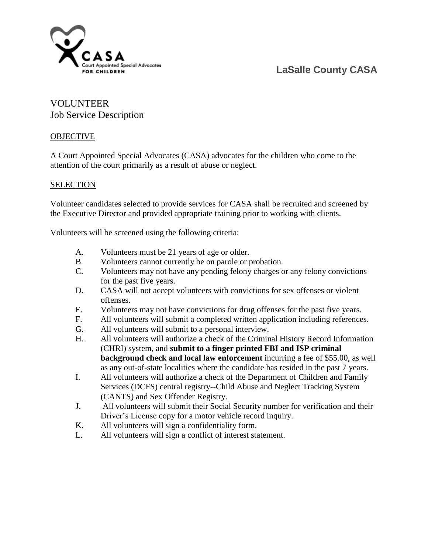

## **LaSalle County CASA**

### VOLUNTEER Job Service Description

#### **OBJECTIVE**

A Court Appointed Special Advocates (CASA) advocates for the children who come to the attention of the court primarily as a result of abuse or neglect.

#### SELECTION

Volunteer candidates selected to provide services for CASA shall be recruited and screened by the Executive Director and provided appropriate training prior to working with clients.

Volunteers will be screened using the following criteria:

- A. Volunteers must be 21 years of age or older.
- B. Volunteers cannot currently be on parole or probation.
- C. Volunteers may not have any pending felony charges or any felony convictions for the past five years.
- D. CASA will not accept volunteers with convictions for sex offenses or violent offenses.
- E. Volunteers may not have convictions for drug offenses for the past five years.
- F. All volunteers will submit a completed written application including references.
- G. All volunteers will submit to a personal interview.
- H. All volunteers will authorize a check of the Criminal History Record Information (CHRI) system, and **submit to a finger printed FBI and ISP criminal background check and local law enforcement** incurring a fee of \$55.00, as well as any out-of-state localities where the candidate has resided in the past 7 years.
- I. All volunteers will authorize a check of the Department of Children and Family Services (DCFS) central registry--Child Abuse and Neglect Tracking System (CANTS) and Sex Offender Registry.
- J. All volunteers will submit their Social Security number for verification and their Driver's License copy for a motor vehicle record inquiry.
- K. All volunteers will sign a confidentiality form.
- L. All volunteers will sign a conflict of interest statement.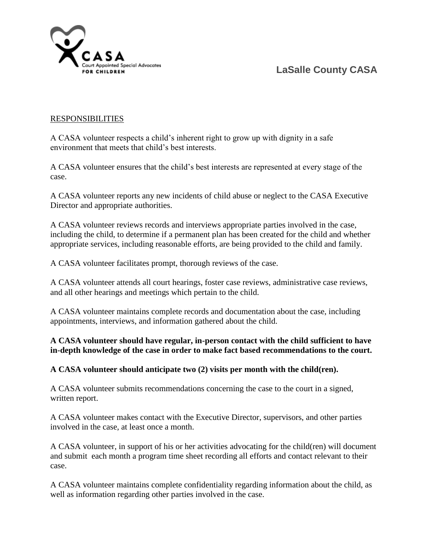## **LaSalle County CASA**



#### RESPONSIBILITIES

A CASA volunteer respects a child's inherent right to grow up with dignity in a safe environment that meets that child's best interests.

A CASA volunteer ensures that the child's best interests are represented at every stage of the case.

A CASA volunteer reports any new incidents of child abuse or neglect to the CASA Executive Director and appropriate authorities.

A CASA volunteer reviews records and interviews appropriate parties involved in the case, including the child, to determine if a permanent plan has been created for the child and whether appropriate services, including reasonable efforts, are being provided to the child and family.

A CASA volunteer facilitates prompt, thorough reviews of the case.

A CASA volunteer attends all court hearings, foster case reviews, administrative case reviews, and all other hearings and meetings which pertain to the child.

A CASA volunteer maintains complete records and documentation about the case, including appointments, interviews, and information gathered about the child.

#### **A CASA volunteer should have regular, in-person contact with the child sufficient to have in-depth knowledge of the case in order to make fact based recommendations to the court.**

#### **A CASA volunteer should anticipate two (2) visits per month with the child(ren).**

A CASA volunteer submits recommendations concerning the case to the court in a signed, written report.

A CASA volunteer makes contact with the Executive Director, supervisors, and other parties involved in the case, at least once a month.

A CASA volunteer, in support of his or her activities advocating for the child(ren) will document and submit each month a program time sheet recording all efforts and contact relevant to their case.

A CASA volunteer maintains complete confidentiality regarding information about the child, as well as information regarding other parties involved in the case.